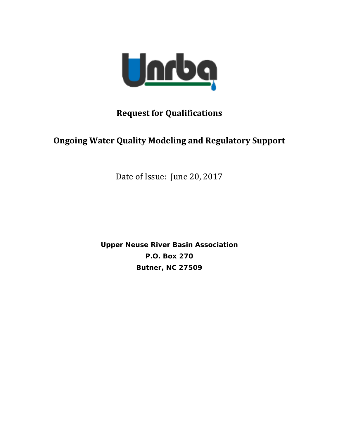

## **Request for Qualifications**

## **Ongoing Water Quality Modeling and Regulatory Support**

Date of Issue: June 20, 2017

**Upper Neuse River Basin Association P.O. Box 270 Butner, NC 27509**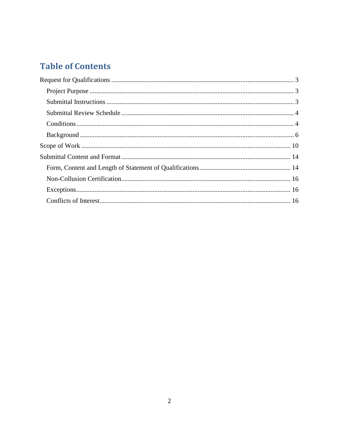# **Table of Contents**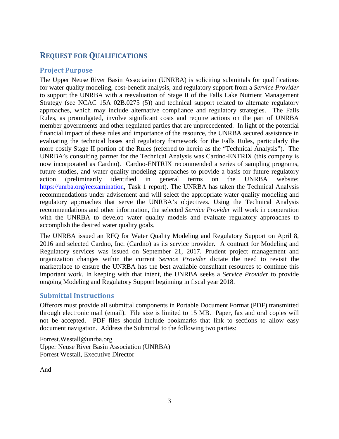## <span id="page-2-0"></span>**REQUEST FOR QUALIFICATIONS**

## <span id="page-2-1"></span>**Project Purpose**

The Upper Neuse River Basin Association (UNRBA) is soliciting submittals for qualifications for water quality modeling, cost-benefit analysis, and regulatory support from a *Service Provider* to support the UNRBA with a reevaluation of Stage II of the Falls Lake Nutrient Management Strategy (see NCAC 15A 02B.0275 (5)) and technical support related to alternate regulatory approaches, which may include alternative compliance and regulatory strategies. The Falls Rules, as promulgated, involve significant costs and require actions on the part of UNRBA member governments and other regulated parties that are unprecedented. In light of the potential financial impact of these rules and importance of the resource, the UNRBA secured assistance in evaluating the technical bases and regulatory framework for the Falls Rules, particularly the more costly Stage II portion of the Rules (referred to herein as the "Technical Analysis"). The UNRBA's consulting partner for the Technical Analysis was Cardno-ENTRIX (this company is now incorporated as Cardno). Cardno-ENTRIX recommended a series of sampling programs, future studies, and water quality modeling approaches to provide a basis for future regulatory action (preliminarily identified in general terms on the UNRBA website: [https://unrba.org/reexamination,](https://unrba.org/reexamination) Task 1 report). The UNRBA has taken the Technical Analysis recommendations under advisement and will select the appropriate water quality modeling and regulatory approaches that serve the UNRBA's objectives. Using the Technical Analysis recommendations and other information, the selected *Service Provider* will work in cooperation with the UNRBA to develop water quality models and evaluate regulatory approaches to accomplish the desired water quality goals.

The UNRBA issued an RFQ for Water Quality Modeling and Regulatory Support on April 8, 2016 and selected Cardno, Inc. (Cardno) as its service provider. A contract for Modeling and Regulatory services was issued on September 21, 2017. Prudent project management and organization changes within the current *Service Provider* dictate the need to revisit the marketplace to ensure the UNRBA has the best available consultant resources to continue this important work. In keeping with that intent, the UNRBA seeks a *Service Provider* to provide ongoing Modeling and Regulatory Support beginning in fiscal year 2018.

## <span id="page-2-2"></span>**Submittal Instructions**

Offerors must provide all submittal components in Portable Document Format (PDF) transmitted through electronic mail (email). File size is limited to 15 MB. Paper, fax and oral copies will not be accepted. PDF files should include bookmarks that link to sections to allow easy document navigation. Address the Submittal to the following two parties:

Forrest.Westall@unrba.org Upper Neuse River Basin Association (UNRBA) Forrest Westall, Executive Director

And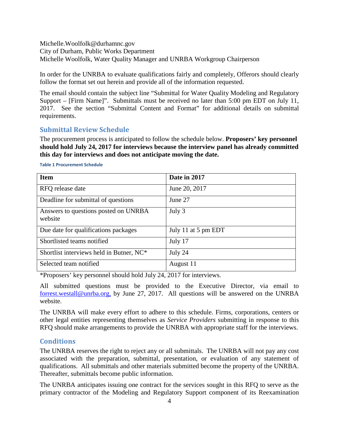Michelle.Woolfolk@durhamnc.gov City of Durham, Public Works Department Michelle Woolfolk, Water Quality Manager and UNRBA Workgroup Chairperson

In order for the UNRBA to evaluate qualifications fairly and completely, Offerors should clearly follow the format set out herein and provide all of the information requested.

The email should contain the subject line "Submittal for Water Quality Modeling and Regulatory Support – [Firm Name]". Submittals must be received no later than 5:00 pm EDT on July 11, 2017. See the section "Submittal Content and Format" for additional details on submittal requirements.

## <span id="page-3-0"></span>**Submittal Review Schedule**

The procurement process is anticipated to follow the schedule below. **Proposers' key personnel should hold July 24, 2017 for interviews because the interview panel has already committed this day for interviews and does not anticipate moving the date.**

| <b>Item</b>                                     | Date in 2017        |
|-------------------------------------------------|---------------------|
| RFQ release date                                | June 20, 2017       |
| Deadline for submittal of questions             | June 27             |
| Answers to questions posted on UNRBA<br>website | July 3              |
| Due date for qualifications packages            | July 11 at 5 pm EDT |
| Shortlisted teams notified                      | July 17             |
| Shortlist interviews held in Butner, NC*        | July 24             |
| Selected team notified                          | August 11           |

**Table 1 Procurement Schedule**

\*Proposers' key personnel should hold July 24, 2017 for interviews.

All submitted questions must be provided to the Executive Director, via email to [forrest.westall@unrba.org,](mailto:forrest.westall@unrba.org) by June 27, 2017. All questions will be answered on the UNRBA website.

The UNRBA will make every effort to adhere to this schedule. Firms, corporations, centers or other legal entities representing themselves as *Service Providers* submitting in response to this RFQ should make arrangements to provide the UNRBA with appropriate staff for the interviews.

## <span id="page-3-1"></span>**Conditions**

The UNRBA reserves the right to reject any or all submittals. The UNRBA will not pay any cost associated with the preparation, submittal, presentation, or evaluation of any statement of qualifications. All submittals and other materials submitted become the property of the UNRBA. Thereafter, submittals become public information.

The UNRBA anticipates issuing one contract for the services sought in this RFQ to serve as the primary contractor of the Modeling and Regulatory Support component of its Reexamination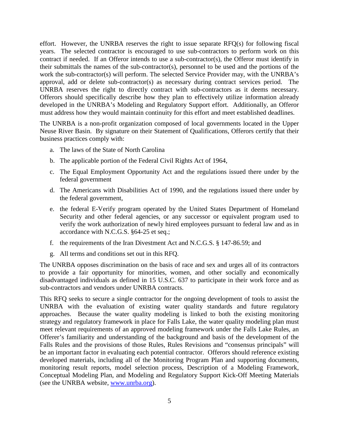effort. However, the UNRBA reserves the right to issue separate RFQ(s) for following fiscal years. The selected contractor is encouraged to use sub-contractors to perform work on this contract if needed. If an Offeror intends to use a sub-contractor(s), the Offeror must identify in their submittals the names of the sub-contractor(s), personnel to be used and the portions of the work the sub-contractor(s) will perform. The selected Service Provider may, with the UNRBA's approval, add or delete sub-contractor(s) as necessary during contract services period. The UNRBA reserves the right to directly contract with sub-contractors as it deems necessary. Offerors should specifically describe how they plan to effectively utilize information already developed in the UNRBA's Modeling and Regulatory Support effort. Additionally, an Offeror must address how they would maintain continuity for this effort and meet established deadlines.

The UNRBA is a non-profit organization composed of local governments located in the Upper Neuse River Basin. By signature on their Statement of Qualifications, Offerors certify that their business practices comply with:

- a. The laws of the State of North Carolina
- b. The applicable portion of the Federal Civil Rights Act of 1964,
- c. The Equal Employment Opportunity Act and the regulations issued there under by the federal government
- d. The Americans with Disabilities Act of 1990, and the regulations issued there under by the federal government,
- e. the federal E-Verify program operated by the United States Department of Homeland Security and other federal agencies, or any successor or equivalent program used to verify the work authorization of newly hired employees pursuant to federal law and as in accordance with N.C.G.S. §64-25 et seq.;
- f. the requirements of the Iran Divestment Act and N.C.G.S. § 147-86.59; and
- g. All terms and conditions set out in this RFQ.

The UNRBA opposes discrimination on the basis of race and sex and urges all of its contractors to provide a fair opportunity for minorities, women, and other socially and economically disadvantaged individuals as defined in 15 U.S.C. 637 to participate in their work force and as sub-contractors and vendors under UNRBA contracts.

This RFQ seeks to secure a single contractor for the ongoing development of tools to assist the UNRBA with the evaluation of existing water quality standards and future regulatory approaches. Because the water quality modeling is linked to both the existing monitoring strategy and regulatory framework in place for Falls Lake, the water quality modeling plan must meet relevant requirements of an approved modeling framework under the Falls Lake Rules, an Offerer's familiarity and understanding of the background and basis of the development of the Falls Rules and the provisions of those Rules, Rules Revisions and "consensus principals" will be an important factor in evaluating each potential contractor. Offerors should reference existing developed materials, including all of the Monitoring Program Plan and supporting documents, monitoring result reports, model selection process, Description of a Modeling Framework, Conceptual Modeling Plan, and Modeling and Regulatory Support Kick-Off Meeting Materials (see the UNRBA website, [www.unrba.org\)](http://www.unrba.org/).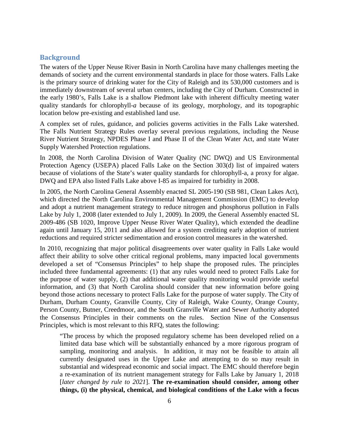#### <span id="page-5-0"></span>**Background**

The waters of the Upper Neuse River Basin in North Carolina have many challenges meeting the demands of society and the current environmental standards in place for those waters. Falls Lake is the primary source of drinking water for the City of Raleigh and its 530,000 customers and is immediately downstream of several urban centers, including the City of Durham. Constructed in the early 1980's, Falls Lake is a shallow Piedmont lake with inherent difficulty meeting water quality standards for chlorophyll-*a* because of its geology, morphology, and its topographic location below pre-existing and established land use.

A complex set of rules, guidance, and policies governs activities in the Falls Lake watershed. The Falls Nutrient Strategy Rules overlay several previous regulations, including the Neuse River Nutrient Strategy, NPDES Phase I and Phase II of the Clean Water Act, and state Water Supply Watershed Protection regulations.

In 2008, the North Carolina Division of Water Quality (NC DWQ) and US Environmental Protection Agency (USEPA) placed Falls Lake on the Section 303(d) list of impaired waters because of violations of the State's water quality standards for chlorophyll-a, a proxy for algae. DWQ and EPA also listed Falls Lake above I-85 as impaired for turbidity in 2008.

In 2005, the North Carolina General Assembly enacted SL 2005-190 (SB 981, Clean Lakes Act), which directed the North Carolina Environmental Management Commission (EMC) to develop and adopt a nutrient management strategy to reduce nitrogen and phosphorus pollution in Falls Lake by July 1, 2008 (later extended to July 1, 2009). In 2009, the General Assembly enacted SL 2009-486 (SB 1020, Improve Upper Neuse River Water Quality), which extended the deadline again until January 15, 2011 and also allowed for a system crediting early adoption of nutrient reductions and required stricter sedimentation and erosion control measures in the watershed.

In 2010, recognizing that major political disagreements over water quality in Falls Lake would affect their ability to solve other critical regional problems, many impacted local governments developed a set of "Consensus Principles" to help shape the proposed rules. The principles included three fundamental agreements: (1) that any rules would need to protect Falls Lake for the purpose of water supply, (2) that additional water quality monitoring would provide useful information, and (3) that North Carolina should consider that new information before going beyond those actions necessary to protect Falls Lake for the purpose of water supply. The City of Durham, Durham County, Granville County, City of Raleigh, Wake County, Orange County, Person County, Butner, Creedmoor, and the South Granville Water and Sewer Authority adopted the Consensus Principles in their comments on the rules. Section Nine of the Consensus Principles, which is most relevant to this RFQ, states the following:

"The process by which the proposed regulatory scheme has been developed relied on a limited data base which will be substantially enhanced by a more rigorous program of sampling, monitoring and analysis. In addition, it may not be feasible to attain all currently designated uses in the Upper Lake and attempting to do so may result in substantial and widespread economic and social impact. The EMC should therefore begin a re-examination of its nutrient management strategy for Falls Lake by January 1, 2018 [*later changed by rule to 2021*]. **The re-examination should consider, among other things, (i) the physical, chemical, and biological conditions of the Lake with a focus**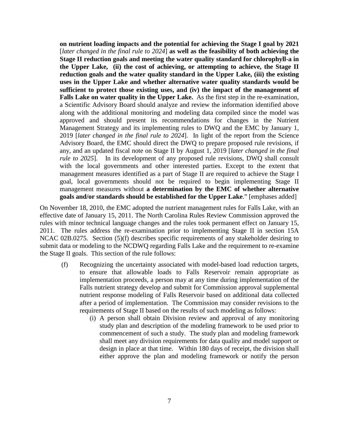**on nutrient loading impacts and the potential for achieving the Stage I goal by 2021** [*later changed in the final rule to 2024*] **as well as the feasibility of both achieving the Stage II reduction goals and meeting the water quality standard for chlorophyll-a in the Upper Lake, (ii) the cost of achieving, or attempting to achieve, the Stage II reduction goals and the water quality standard in the Upper Lake, (iii) the existing uses in the Upper Lake and whether alternative water quality standards would be sufficient to protect those existing uses, and (iv) the impact of the management of Falls Lake on water quality in the Upper Lake.** As the first step in the re-examination, a Scientific Advisory Board should analyze and review the information identified above along with the additional monitoring and modeling data compiled since the model was approved and should present its recommendations for changes in the Nutrient Management Strategy and its implementing rules to DWQ and the EMC by January 1, 2019 [*later changed in the final rule to 2024*]. In light of the report from the Science Advisory Board, the EMC should direct the DWQ to prepare proposed rule revisions, if any, and an updated fiscal note on Stage II by August 1, 2019 [*later changed in the final rule to 2025*]. In its development of any proposed rule revisions, DWQ shall consult with the local governments and other interested parties. Except to the extent that management measures identified as a part of Stage II are required to achieve the Stage I goal, local governments should not be required to begin implementing Stage II management measures without **a determination by the EMC of whether alternative goals and/or standards should be established for the Upper Lake**." [emphases added]

On November 18, 2010, the EMC adopted the nutrient management rules for Falls Lake, with an effective date of January 15, 2011. The North Carolina Rules Review Commission approved the rules with minor technical language changes and the rules took permanent effect on January 15, 2011. The rules address the re-examination prior to implementing Stage II in section 15A NCAC 02B.0275. Section (5)(f) describes specific requirements of any stakeholder desiring to submit data or modeling to the NCDWQ regarding Falls Lake and the requirement to re-examine the Stage II goals. This section of the rule follows:

- (f) Recognizing the uncertainty associated with model-based load reduction targets, to ensure that allowable loads to Falls Reservoir remain appropriate as implementation proceeds, a person may at any time during implementation of the Falls nutrient strategy develop and submit for Commission approval supplemental nutrient response modeling of Falls Reservoir based on additional data collected after a period of implementation. The Commission may consider revisions to the requirements of Stage II based on the results of such modeling as follows:
	- (i) A person shall obtain Division review and approval of any monitoring study plan and description of the modeling framework to be used prior to commencement of such a study. The study plan and modeling framework shall meet any division requirements for data quality and model support or design in place at that time. Within 180 days of receipt, the division shall either approve the plan and modeling framework or notify the person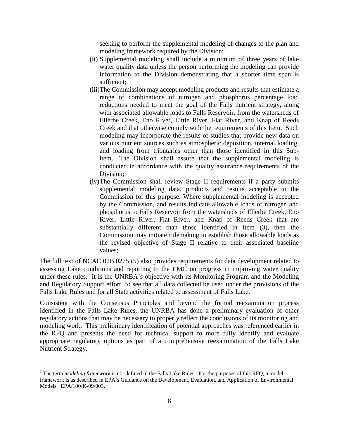seeking to perform the supplemental modeling of changes to the plan and modeling framework required by the Division;<sup>[1](#page-7-0)</sup>

- (ii) Supplemental modeling shall include a minimum of three years of lake water quality data unless the person performing the modeling can provide information to the Division demonstrating that a shorter time span is sufficient;
- (iii)The Commission may accept modeling products and results that estimate a range of combinations of nitrogen and phosphorus percentage load reductions needed to meet the goal of the Falls nutrient strategy, along with associated allowable loads to Falls Reservoir, from the watersheds of Ellerbe Creek, Eno River, Little River, Flat River, and Knap of Reeds Creek and that otherwise comply with the requirements of this Item. Such modeling may incorporate the results of studies that provide new data on various nutrient sources such as atmospheric deposition, internal loading, and loading from tributaries other than those identified in this Subitem. The Division shall assure that the supplemental modeling is conducted in accordance with the quality assurance requirements of the Division;
- (iv)The Commission shall review Stage II requirements if a party submits supplemental modeling data, products and results acceptable to the Commission for this purpose. Where supplemental modeling is accepted by the Commission, and results indicate allowable loads of nitrogen and phosphorus to Falls Reservoir from the watersheds of Ellerbe Creek, Eno River, Little River, Flat River, and Knap of Reeds Creek that are substantially different than those identified in Item (3), then the Commission may initiate rulemaking to establish those allowable loads as the revised objective of Stage II relative to their associated baseline values;

The full text of NCAC 02B.0275 (5) also provides requirements for data development related to assessing Lake conditions and reporting to the EMC on progress in improving water quality under these rules. It is the UNRBA's objective with its Monitoring Program and the Modeling and Regulatory Support effort to see that all data collected be used under the provisions of the Falls Lake Rules and for all State activities related to assessment of Falls Lake.

Consistent with the Consensus Principles and beyond the formal reexamination process identified in the Falls Lake Rules, the UNRBA has done a preliminary evaluation of other regulatory actions that may be necessary to properly reflect the conclusions of its monitoring and modeling work. This preliminary identification of potential approaches was referenced earlier in the RFQ and presents the need for technical support to more fully identify and evaluate appropriate regulatory options as part of a comprehensive reexamination of the Falls Lake Nutrient Strategy.

<span id="page-7-0"></span> <sup>1</sup> The term *modeling framework* is not defined in the Falls Lake Rules. For the purposes of this RFQ, a model framework is as described in EPA's Guidance on the Development, Evaluation, and Application of Environmental Models. EPA/100/K-09/003.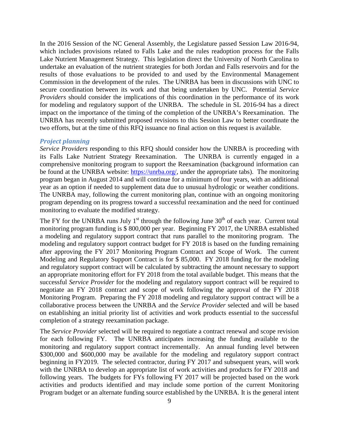In the 2016 Session of the NC General Assembly, the Legislature passed Session Law 2016-94, which includes provisions related to Falls Lake and the rules readoption process for the Falls Lake Nutrient Management Strategy. This legislation direct the University of North Carolina to undertake an evaluation of the nutrient strategies for both Jordan and Falls reservoirs and for the results of those evaluations to be provided to and used by the Environmental Management Commission in the development of the rules. The UNRBA has been in discussions with UNC to secure coordination between its work and that being undertaken by UNC. Potential *Service Providers* should consider the implications of this coordination in the performance of its work for modeling and regulatory support of the UNRBA. The schedule in SL 2016-94 has a direct impact on the importance of the timing of the completion of the UNRBA's Reexamination. The UNRBA has recently submitted proposed revisions to this Session Law to better coordinate the two efforts, but at the time of this RFQ issuance no final action on this request is available.

#### *Project planning*

*Service Providers* responding to this RFQ should consider how the UNRBA is proceeding with its Falls Lake Nutrient Strategy Reexamination. The UNRBA is currently engaged in a comprehensive monitoring program to support the Reexamination (background information can be found at the UNRBA website: [https://unrba.org/,](https://unrba.org/) under the appropriate tabs). The monitoring program began in August 2014 and will continue for a minimum of four years, with an additional year as an option if needed to supplement data due to unusual hydrologic or weather conditions. The UNRBA may, following the current monitoring plan, continue with an ongoing monitoring program depending on its progress toward a successful reexamination and the need for continued monitoring to evaluate the modified strategy.

The FY for the UNRBA runs July 1<sup>st</sup> through the following June  $30<sup>th</sup>$  of each year. Current total monitoring program funding is \$ 800,000 per year. Beginning FY 2017, the UNRBA established a modeling and regulatory support contract that runs parallel to the monitoring program. The modeling and regulatory support contract budget for FY 2018 is based on the funding remaining after approving the FY 2017 Monitoring Program Contract and Scope of Work. The current Modeling and Regulatory Support Contract is for \$ 85,000. FY 2018 funding for the modeling and regulatory support contract will be calculated by subtracting the amount necessary to support an appropriate monitoring effort for FY 2018 from the total available budget. This means that the successful *Service Provider* for the modeling and regulatory support contract will be required to negotiate an FY 2018 contract and scope of work following the approval of the FY 2018 Monitoring Program. Preparing the FY 2018 modeling and regulatory support contract will be a collaborative process between the UNRBA and the *Service Provider* selected and will be based on establishing an initial priority list of activities and work products essential to the successful completion of a strategy reexamination package.

The *Service Provider* selected will be required to negotiate a contract renewal and scope revision for each following FY. The UNRBA anticipates increasing the funding available to the monitoring and regulatory support contract incrementally. An annual funding level between \$300,000 and \$600,000 may be available for the modeling and regulatory support contract beginning in FY2019. The selected contractor, during FY 2017 and subsequent years, will work with the UNRBA to develop an appropriate list of work activities and products for FY 2018 and following years. The budgets for FYs following FY 2017 will be projected based on the work activities and products identified and may include some portion of the current Monitoring Program budget or an alternate funding source established by the UNRBA. It is the general intent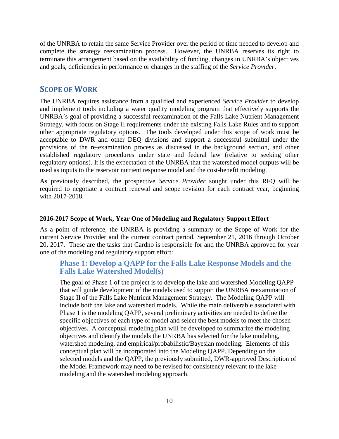of the UNRBA to retain the same Service Provider over the period of time needed to develop and complete the strategy reexamination process. However, the UNRBA reserves its right to terminate this arrangement based on the availability of funding, changes in UNRBA's objectives and goals, deficiencies in performance or changes in the staffing of the *Service Provider*.

## <span id="page-9-0"></span>**SCOPE OF WORK**

The UNRBA requires assistance from a qualified and experienced *Service Provider* to develop and implement tools including a water quality modeling program that effectively supports the UNRBA's goal of providing a successful reexamination of the Falls Lake Nutrient Management Strategy, with focus on Stage II requirements under the existing Falls Lake Rules and to support other appropriate regulatory options. The tools developed under this scope of work must be acceptable to DWR and other DEQ divisions and support a successful submittal under the provisions of the re-examination process as discussed in the background section, and other established regulatory procedures under state and federal law (relative to seeking other regulatory options). It is the expectation of the UNRBA that the watershed model outputs will be used as inputs to the reservoir nutrient response model and the cost-benefit modeling.

As previously described, the prospective *Service Provider* sought under this RFQ will be required to negotiate a contract renewal and scope revision for each contract year, beginning with 2017-2018.

#### **2016-2017 Scope of Work, Year One of Modeling and Regulatory Support Effort**

As a point of reference, the UNRBA is providing a summary of the Scope of Work for the current Service Provider and the current contract period, September 21, 2016 through October 20, 2017. These are the tasks that Cardno is responsible for and the UNRBA approved for year one of the modeling and regulatory support effort:

## **Phase 1: Develop a QAPP for the Falls Lake Response Models and the Falls Lake Watershed Model(s)**

The goal of Phase 1 of the project is to develop the lake and watershed Modeling QAPP that will guide development of the models used to support the UNRBA reexamination of Stage II of the Falls Lake Nutrient Management Strategy. The Modeling QAPP will include both the lake and watershed models. While the main deliverable associated with Phase 1 is the modeling QAPP, several preliminary activities are needed to define the specific objectives of each type of model and select the best models to meet the chosen objectives. A conceptual modeling plan will be developed to summarize the modeling objectives and identify the models the UNRBA has selected for the lake modeling, watershed modeling, and empirical/probabilistic/Bayesian modeling. Elements of this conceptual plan will be incorporated into the Modeling QAPP. Depending on the selected models and the QAPP, the previously submitted, DWR-approved Description of the Model Framework may need to be revised for consistency relevant to the lake modeling and the watershed modeling approach.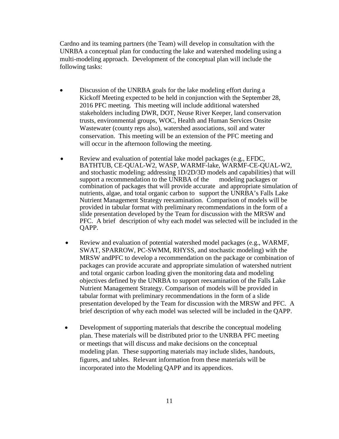Cardno and its teaming partners (the Team) will develop in consultation with the UNRBA a conceptual plan for conducting the lake and watershed modeling using a multi-modeling approach. Development of the conceptual plan will include the following tasks:

- Discussion of the UNRBA goals for the lake modeling effort during a Kickoff Meeting expected to be held in conjunction with the September 28, 2016 PFC meeting. This meeting will include additional watershed stakeholders including DWR, DOT, Neuse River Keeper, land conservation trusts, environmental groups, WOC, Health and Human Services Onsite Wastewater (county reps also), watershed associations, soil and water conservation. This meeting will be an extension of the PFC meeting and will occur in the afternoon following the meeting.
- Review and evaluation of potential lake model packages (e.g., EFDC, BATHTUB, CE-QUAL-W2, WASP, WARMF-lake, WARMF-CE-QUAL-W2, and stochastic modeling; addressing 1D/2D/3D models and capabilities) that will support a recommendation to the UNRBA of the modeling packages or combination of packages that will provide accurate and appropriate simulation of nutrients, algae, and total organic carbon to support the UNRBA's Falls Lake Nutrient Management Strategy reexamination. Comparison of models will be provided in tabular format with preliminary recommendations in the form of a slide presentation developed by the Team for discussion with the MRSW and PFC. A brief description of why each model was selected will be included in the QAPP.
	- Review and evaluation of potential watershed model packages (e.g., WARMF, SWAT, SPARROW, PC-SWMM, RHYSS, and stochastic modeling) with the MRSW andPFC to develop a recommendation on the package or combination of packages can provide accurate and appropriate simulation of watershed nutrient and total organic carbon loading given the monitoring data and modeling objectives defined by the UNRBA to support reexamination of the Falls Lake Nutrient Management Strategy. Comparison of models will be provided in tabular format with preliminary recommendations in the form of a slide presentation developed by the Team for discussion with the MRSW and PFC. A brief description of why each model was selected will be included in the QAPP.
	- Development of supporting materials that describe the conceptual modeling plan. These materials will be distributed prior to the UNRBA PFC meeting or meetings that will discuss and make decisions on the conceptual modeling plan. These supporting materials may include slides, handouts, figures, and tables. Relevant information from these materials will be incorporated into the Modeling QAPP and its appendices.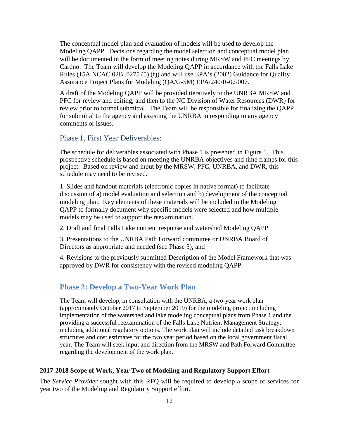The conceptual model plan and evaluation of models will be used to develop the Modeling QAPP. Decisions regarding the model selection and conceptual model plan will be documented in the form of meeting notes during MRSW and PFC meetings by Cardno. The Team will develop the Modeling QAPP in accordance with the Falls Lake Rules (15A NCAC 02B .0275 (5) (f)) and will use EPA's (2002) Guidance for Quality Assurance Project Plans for Modeling (QA/G-5M) EPA/240/R-02/007.

A draft of the Modeling QAPP will be provided iteratively to the UNRBA MRSW and PFC for review and editing, and then to the NC Division of Water Resources (DWR) for review prior to formal submittal. The Team will be responsible for finalizing the QAPP for submittal to the agency and assisting the UNRBA in responding to any agency comments or issues.

#### Phase 1, First Year Deliverables:

The schedule for deliverables associated with Phase 1 is presented in Figure 1. This prospective schedule is based on meeting the UNRBA objectives and time frames for this project. Based on review and input by the MRSW, PFC, UNRBA, and DWR, this schedule may need to be revised.

1. Slides and handout materials (electronic copies in native format) to facilitate discussion of a) model evaluation and selection and b) development of the conceptual modeling plan. Key elements of these materials will be included in the Modeling QAPP to formally document why specific models were selected and how multiple models may be used to support the reexamination.

2. Draft and final Falls Lake nutrient response and watershed Modeling QAPP.

3. Presentations to the UNRBA Path Forward committee or UNRBA Board of Directors as appropriate and needed (see Phase 5), and

4. Revisions to the previously submitted Description of the Model Framework that was approved by DWR for consistency with the revised modeling QAPP.

#### **Phase 2: Develop a Two-Year Work Plan**

The Team will develop, in consultation with the UNRBA, a two-year work plan (approximately October 2017 to September 2019) for the modeling project including implementation of the watershed and lake modeling conceptual plans from Phase 1 and the providing a successful reexamination of the Falls Lake Nutrient Management Strategy, including additional regulatory options. The work plan will include detailed task breakdown structures and cost estimates for the two year period based on the local government fiscal year. The Team will seek input and direction from the MRSW and Path Forward Committee regarding the development of the work plan.

#### **2017-2018 Scope of Work, Year Two of Modeling and Regulatory Support Effort**

The *Service Provider* sought with this RFQ will be required to develop a scope of services for year two of the Modeling and Regulatory Support effort.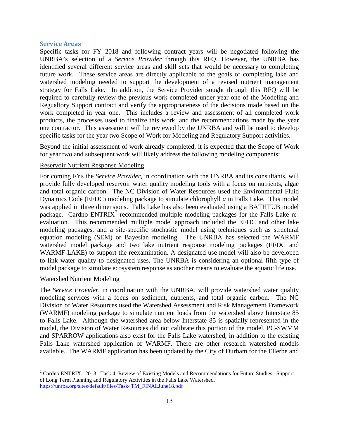#### **Service Areas**

Specific tasks for FY 2018 and following contract years will be negotiated following the UNRBA's selection of a *Service Provider* through this RFQ. However, the UNRBA has identified several different service areas and skill sets that would be necessary to completing future work. These service areas are directly applicable to the goals of completing lake and watershed modeling needed to support the development of a revised nutrient management strategy for Falls Lake. In addition, the Service Provider sought through this RFQ will be required to carefully review the previous work completed under year one of the Modeling and Regualtory Support contract and verify the appropriateness of the decisions made based on the work completed in year one. This includes a review and assessment of all completed work products, the processes used to finalize this work, and the recommendations made by the year one contractor. This assessment will be reviewed by the UNRBA and will be used to develop specific tasks for the year two Scope of Work for Modeling and Regulatory Support activities.

Beyond the initial assessment of work already completed, it is expected that the Scope of Work for year two and subsequent work will likely address the following modeling components:

#### Reservoir Nutrient Response Modeling

For coming FYs the *Service Provider*, in coordination with the UNRBA and its consultants, will provide fully developed reservoir water quality modeling tools with a focus on nutrients, algae and total organic carbon. The NC Division of Water Resources used the Environmental Fluid Dynamics Code (EFDC) modeling package to simulate chlorophyll *a* in Falls Lake. This model was applied in three dimensions. Falls Lake has also been evaluated using a BATHTUB model package. Cardno  $ENTRIX<sup>2</sup>$  $ENTRIX<sup>2</sup>$  $ENTRIX<sup>2</sup>$  recommended multiple modeling packages for the Falls Lake reevaluation. This recommended multiple model approach included the EFDC and other lake modeling packages, and a site-specific stochastic model using techniques such as structural equation modeling (SEM) or Bayesian modeling. The UNRBA has selected the WARMF watershed model package and two lake nutrient response modeling packages (EFDC and WARMF-LAKE) to support the reexamination. A designated use model will also be developed to link water quality to designated uses. The UNRBA is considering an optional fifth type of model package to simulate ecosystem response as another means to evaluate the aquatic life use.

#### Watershed Nutrient Modeling

The *Service Provider*, in coordination with the UNRBA, will provide watershed water quality modeling services with a focus on sediment, nutrients, and total organic carbon. The NC Division of Water Resources used the Watershed Assessment and Risk Management Framework (WARMF) modeling package to simulate nutrient loads from the watershed above Interstate 85 to Falls Lake. Although the watershed area below Interstate 85 is spatially represented in the model, the Division of Water Resources did not calibrate this portion of the model. PC-SWMM and SPARROW applications also exist for the Falls Lake watershed, in addition to the existing Falls Lake watershed application of WARMF. There are other research watershed models available. The WARMF application has been updated by the City of Durham for the Ellerbe and

<span id="page-12-0"></span> $2^2$  Cardno ENTRIX. 2013. Task 4: Review of Existing Models and Recommendations for Future Studies. Support of Long Term Planning and Regulatory Activities in the Falls Lake Watershed. [https://unrba.org/sites/default/files/Task4TM\\_FINALJune18.pdf](https://unrba.org/sites/default/files/Task4TM_FINALJune18.pdf)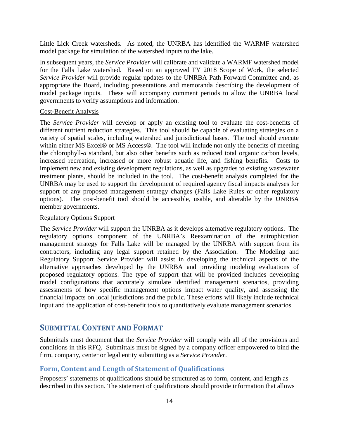Little Lick Creek watersheds. As noted, the UNRBA has identified the WARMF watershed model package for simulation of the watershed inputs to the lake.

In subsequent years, the *Service Provider* will calibrate and validate a WARMF watershed model for the Falls Lake watershed. Based on an approved FY 2018 Scope of Work, the selected *Service Provider* will provide regular updates to the UNRBA Path Forward Committee and, as appropriate the Board, including presentations and memoranda describing the development of model package inputs. These will accompany comment periods to allow the UNRBA local governments to verify assumptions and information.

#### Cost-Benefit Analysis

The *Service Provider* will develop or apply an existing tool to evaluate the cost-benefits of different nutrient reduction strategies. This tool should be capable of evaluating strategies on a variety of spatial scales, including watershed and jurisdictional bases. The tool should execute within either MS Excel® or MS Access®. The tool will include not only the benefits of meeting the chlorophyll-*a* standard, but also other benefits such as reduced total organic carbon levels, increased recreation, increased or more robust aquatic life, and fishing benefits. Costs to implement new and existing development regulations, as well as upgrades to existing wastewater treatment plants, should be included in the tool. The cost-benefit analysis completed for the UNRBA may be used to support the development of required agency fiscal impacts analyses for support of any proposed management strategy changes (Falls Lake Rules or other regulatory options). The cost-benefit tool should be accessible, usable, and alterable by the UNRBA member governments.

#### Regulatory Options Support

The *Service Provider* will support the UNRBA as it develops alternative regulatory options. The regulatory options component of the UNRBA's Reexamination of the eutrophication management strategy for Falls Lake will be managed by the UNRBA with support from its contractors, including any legal support retained by the Association. The Modeling and Regulatory Support Service Provider will assist in developing the technical aspects of the alternative approaches developed by the UNRBA and providing modeling evaluations of proposed regulatory options. The type of support that will be provided includes developing model configurations that accurately simulate identified management scenarios, providing assessments of how specific management options impact water quality, and assessing the financial impacts on local jurisdictions and the public. These efforts will likely include technical input and the application of cost-benefit tools to quantitatively evaluate management scenarios.

## <span id="page-13-0"></span>**SUBMITTAL CONTENT AND FORMAT**

Submittals must document that the *Service Provider* will comply with all of the provisions and conditions in this RFQ. Submittals must be signed by a company officer empowered to bind the firm, company, center or legal entity submitting as a *Service Provider*.

## <span id="page-13-1"></span>**Form, Content and Length of Statement of Qualifications**

Proposers' statements of qualifications should be structured as to form, content, and length as described in this section. The statement of qualifications should provide information that allows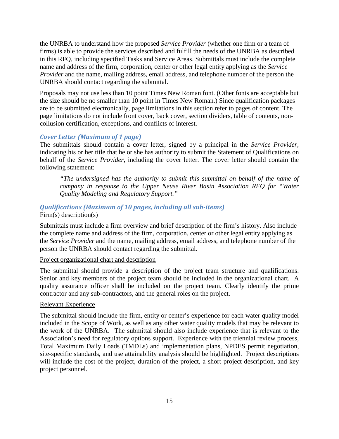the UNRBA to understand how the proposed *Service Provider* (whether one firm or a team of firms) is able to provide the services described and fulfill the needs of the UNRBA as described in this RFQ, including specified Tasks and Service Areas. Submittals must include the complete name and address of the firm, corporation, center or other legal entity applying as the *Service Provider* and the name, mailing address, email address, and telephone number of the person the UNRBA should contact regarding the submittal.

Proposals may not use less than 10 point Times New Roman font. (Other fonts are acceptable but the size should be no smaller than 10 point in Times New Roman.) Since qualification packages are to be submitted electronically, page limitations in this section refer to pages of content. The page limitations do not include front cover, back cover, section dividers, table of contents, noncollusion certification, exceptions, and conflicts of interest.

#### *Cover Letter (Maximum of 1 page)*

The submittals should contain a cover letter, signed by a principal in the *Service Provider*, indicating his or her title that he or she has authority to submit the Statement of Qualifications on behalf of the *Service Provider*, including the cover letter. The cover letter should contain the following statement:

*"The undersigned has the authority to submit this submittal on behalf of the name of company in response to the Upper Neuse River Basin Association RFQ for "Water Quality Modeling and Regulatory Support."*

#### *Qualifications (Maximum of 10 pages, including all sub-items)* Firm(s) description(s)

Submittals must include a firm overview and brief description of the firm's history. Also include the complete name and address of the firm, corporation, center or other legal entity applying as the *Service Provider* and the name, mailing address, email address, and telephone number of the person the UNRBA should contact regarding the submittal.

#### Project organizational chart and description

The submittal should provide a description of the project team structure and qualifications. Senior and key members of the project team should be included in the organizational chart. A quality assurance officer shall be included on the project team. Clearly identify the prime contractor and any sub-contractors, and the general roles on the project.

#### Relevant Experience

The submittal should include the firm, entity or center's experience for each water quality model included in the Scope of Work, as well as any other water quality models that may be relevant to the work of the UNRBA. The submittal should also include experience that is relevant to the Association's need for regulatory options support. Experience with the triennial review process, Total Maximum Daily Loads (TMDLs) and implementation plans, NPDES permit negotiation, site-specific standards, and use attainability analysis should be highlighted. Project descriptions will include the cost of the project, duration of the project, a short project description, and key project personnel.